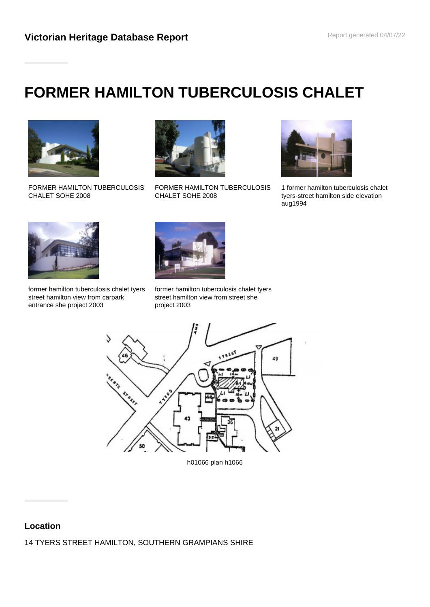# **FORMER HAMILTON TUBERCULOSIS CHALET**



FORMER HAMILTON TUBERCULOSIS CHALET SOHE 2008



FORMER HAMILTON TUBERCULOSIS CHALET SOHE 2008



1 former hamilton tuberculosis chalet tyers-street hamilton side elevation aug1994



former hamilton tuberculosis chalet tyers street hamilton view from carpark entrance she project 2003



former hamilton tuberculosis chalet tyers street hamilton view from street she project 2003



h01066 plan h1066

## **Location**

14 TYERS STREET HAMILTON, SOUTHERN GRAMPIANS SHIRE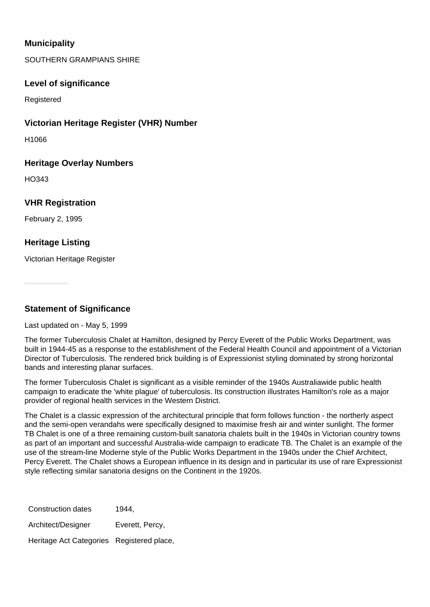# **Municipality**

SOUTHERN GRAMPIANS SHIRE

#### **Level of significance**

Registered

#### **Victorian Heritage Register (VHR) Number**

H1066

#### **Heritage Overlay Numbers**

HO343

#### **VHR Registration**

February 2, 1995

## **Heritage Listing**

Victorian Heritage Register

**Statement of Significance**

Last updated on - May 5, 1999

The former Tuberculosis Chalet at Hamilton, designed by Percy Everett of the Public Works Department, was built in 1944-45 as a response to the establishment of the Federal Health Council and appointment of a Victorian Director of Tuberculosis. The rendered brick building is of Expressionist styling dominated by strong horizontal bands and interesting planar surfaces.

The former Tuberculosis Chalet is significant as a visible reminder of the 1940s Australiawide public health campaign to eradicate the 'white plague' of tuberculosis. Its construction illustrates Hamilton's role as a major provider of regional health services in the Western District.

The Chalet is a classic expression of the architectural principle that form follows function - the northerly aspect and the semi-open verandahs were specifically designed to maximise fresh air and winter sunlight. The former TB Chalet is one of a three remaining custom-built sanatoria chalets built in the 1940s in Victorian country towns as part of an important and successful Australia-wide campaign to eradicate TB. The Chalet is an example of the use of the stream-line Moderne style of the Public Works Department in the 1940s under the Chief Architect, Percy Everett. The Chalet shows a European influence in its design and in particular its use of rare Expressionist style reflecting similar sanatoria designs on the Continent in the 1920s.

| Construction dates                        | 1944.           |
|-------------------------------------------|-----------------|
| Architect/Designer                        | Everett, Percy, |
| Heritage Act Categories Registered place, |                 |